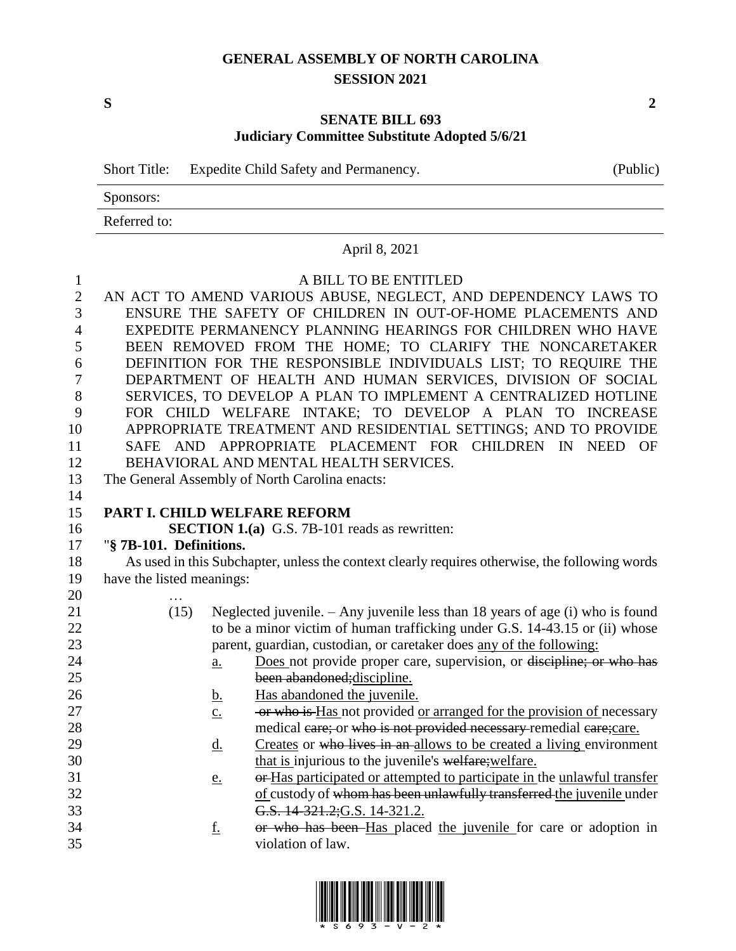## **GENERAL ASSEMBLY OF NORTH CAROLINA SESSION 2021**

**S 2**

## **SENATE BILL 693 Judiciary Committee Substitute Adopted 5/6/21**

|           | Short Title: Expedite Child Safety and Permanency. | (Public) |
|-----------|----------------------------------------------------|----------|
| Sponsors: |                                                    |          |
|           |                                                    |          |

Referred to:

### April 8, 2021

# A BILL TO BE ENTITLED AN ACT TO AMEND VARIOUS ABUSE, NEGLECT, AND DEPENDENCY LAWS TO

 ENSURE THE SAFETY OF CHILDREN IN OUT-OF-HOME PLACEMENTS AND EXPEDITE PERMANENCY PLANNING HEARINGS FOR CHILDREN WHO HAVE BEEN REMOVED FROM THE HOME; TO CLARIFY THE NONCARETAKER DEFINITION FOR THE RESPONSIBLE INDIVIDUALS LIST; TO REQUIRE THE DEPARTMENT OF HEALTH AND HUMAN SERVICES, DIVISION OF SOCIAL SERVICES, TO DEVELOP A PLAN TO IMPLEMENT A CENTRALIZED HOTLINE FOR CHILD WELFARE INTAKE; TO DEVELOP A PLAN TO INCREASE APPROPRIATE TREATMENT AND RESIDENTIAL SETTINGS; AND TO PROVIDE SAFE AND APPROPRIATE PLACEMENT FOR CHILDREN IN NEED OF BEHAVIORAL AND MENTAL HEALTH SERVICES.

The General Assembly of North Carolina enacts:

### **PART I. CHILD WELFARE REFORM**

**SECTION 1.(a)** G.S. 7B-101 reads as rewritten:

# "**§ 7B-101. Definitions.**

 As used in this Subchapter, unless the context clearly requires otherwise, the following words have the listed meanings: …

- (15) Neglected juvenile. Any juvenile less than 18 years of age (i) who is found 22 to be a minor victim of human trafficking under G.S. 14-43.15 or (ii) whose parent, guardian, custodian, or caretaker does any of the following:
- **a.** Does not provide proper care, supervision, or discipline; or who has been abandoned;discipline.
- b. Has abandoned the juvenile.
- 27 c. or who is Has not provided or arranged for the provision of necessary 28 medical care; or who is not provided necessary remedial care; care.
- 29 d. Creates or who lives in an allows to be created a living environment 30 that is injurious to the juvenile's welfare; welfare.
- 31 e. or Has participated or attempted to participate in the unlawful transfer 32 of custody of whom has been unlawfully transferred the juvenile under G.S. 14-321.2;G.S. 14-321.2.
- **f.** or who has been Has placed the juvenile for care or adoption in violation of law.

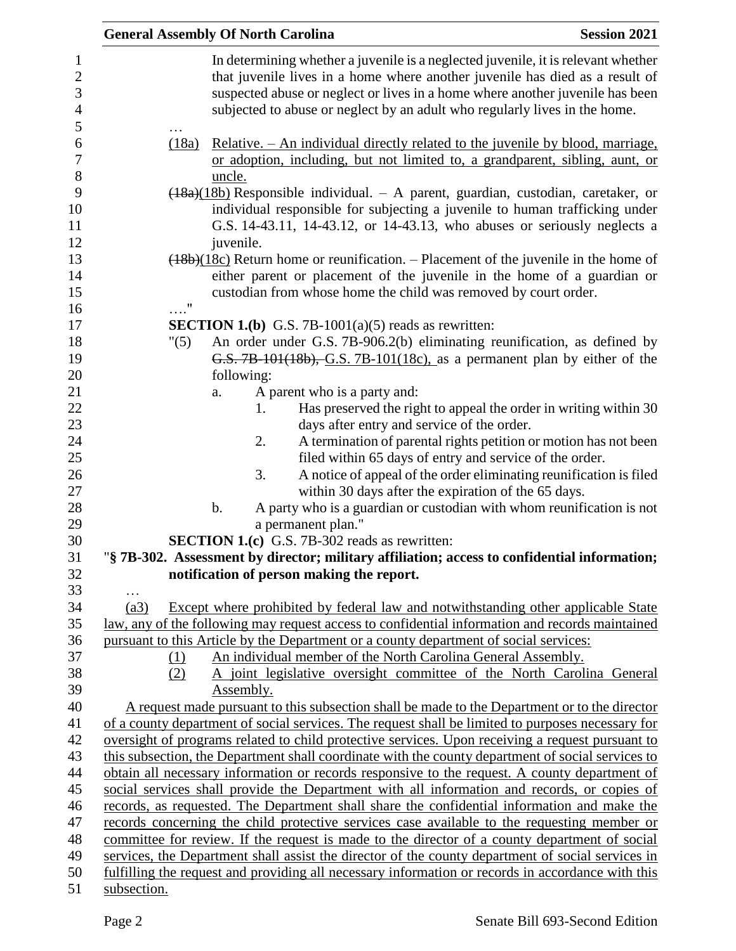|             | <b>General Assembly Of North Carolina</b> |                                                                                                                                                                                                                                                                                                                                  | <b>Session 2021</b> |
|-------------|-------------------------------------------|----------------------------------------------------------------------------------------------------------------------------------------------------------------------------------------------------------------------------------------------------------------------------------------------------------------------------------|---------------------|
|             |                                           | In determining whether a juvenile is a neglected juvenile, it is relevant whether<br>that juvenile lives in a home where another juvenile has died as a result of<br>suspected abuse or neglect or lives in a home where another juvenile has been<br>subjected to abuse or neglect by an adult who regularly lives in the home. |                     |
| (18a)       | uncle.                                    | <u>Relative. – An individual directly related to the juvenile by blood, marriage,</u><br>or adoption, including, but not limited to, a grandparent, sibling, aunt, or                                                                                                                                                            |                     |
|             | juvenile.                                 | $\frac{(18a)(18b)}{2}$ Responsible individual. - A parent, guardian, custodian, caretaker, or<br>individual responsible for subjecting a juvenile to human trafficking under<br>G.S. 14-43.11, 14-43.12, or 14-43.13, who abuses or seriously neglects a                                                                         |                     |
| . "         |                                           | $(18b)(18c)$ Return home or reunification. – Placement of the juvenile in the home of<br>either parent or placement of the juvenile in the home of a guardian or<br>custodian from whose home the child was removed by court order.                                                                                              |                     |
|             |                                           | <b>SECTION 1.(b)</b> G.S. 7B-1001(a)(5) reads as rewritten:                                                                                                                                                                                                                                                                      |                     |
| "(5)        |                                           | An order under G.S. 7B-906.2(b) eliminating reunification, as defined by<br>G.S. 7B-101(18b), G.S. 7B-101(18c), as a permanent plan by either of the                                                                                                                                                                             |                     |
|             | following:                                |                                                                                                                                                                                                                                                                                                                                  |                     |
|             | a.<br>1.                                  | A parent who is a party and:                                                                                                                                                                                                                                                                                                     |                     |
|             |                                           | Has preserved the right to appeal the order in writing within 30<br>days after entry and service of the order.                                                                                                                                                                                                                   |                     |
|             | 2.                                        | A termination of parental rights petition or motion has not been                                                                                                                                                                                                                                                                 |                     |
|             |                                           | filed within 65 days of entry and service of the order.                                                                                                                                                                                                                                                                          |                     |
|             | 3.                                        | A notice of appeal of the order eliminating reunification is filed                                                                                                                                                                                                                                                               |                     |
|             |                                           | within 30 days after the expiration of the 65 days.                                                                                                                                                                                                                                                                              |                     |
|             | b.                                        | A party who is a guardian or custodian with whom reunification is not                                                                                                                                                                                                                                                            |                     |
|             |                                           | a permanent plan."                                                                                                                                                                                                                                                                                                               |                     |
|             |                                           | <b>SECTION 1.(c)</b> G.S. 7B-302 reads as rewritten:                                                                                                                                                                                                                                                                             |                     |
|             |                                           | "§ 7B-302. Assessment by director; military affiliation; access to confidential information;                                                                                                                                                                                                                                     |                     |
|             |                                           | notification of person making the report.                                                                                                                                                                                                                                                                                        |                     |
|             |                                           |                                                                                                                                                                                                                                                                                                                                  |                     |
| (a3)        |                                           | Except where prohibited by federal law and notwithstanding other applicable State                                                                                                                                                                                                                                                |                     |
|             |                                           | law, any of the following may request access to confidential information and records maintained                                                                                                                                                                                                                                  |                     |
|             |                                           | pursuant to this Article by the Department or a county department of social services:                                                                                                                                                                                                                                            |                     |
| (1)         |                                           | An individual member of the North Carolina General Assembly.                                                                                                                                                                                                                                                                     |                     |
| (2)         |                                           | A joint legislative oversight committee of the North Carolina General                                                                                                                                                                                                                                                            |                     |
|             | Assembly.                                 | A request made pursuant to this subsection shall be made to the Department or to the director                                                                                                                                                                                                                                    |                     |
|             |                                           | of a county department of social services. The request shall be limited to purposes necessary for                                                                                                                                                                                                                                |                     |
|             |                                           | oversight of programs related to child protective services. Upon receiving a request pursuant to                                                                                                                                                                                                                                 |                     |
|             |                                           | this subsection, the Department shall coordinate with the county department of social services to                                                                                                                                                                                                                                |                     |
|             |                                           | obtain all necessary information or records responsive to the request. A county department of                                                                                                                                                                                                                                    |                     |
|             |                                           | social services shall provide the Department with all information and records, or copies of                                                                                                                                                                                                                                      |                     |
|             |                                           | records, as requested. The Department shall share the confidential information and make the                                                                                                                                                                                                                                      |                     |
|             |                                           | records concerning the child protective services case available to the requesting member or                                                                                                                                                                                                                                      |                     |
|             |                                           | committee for review. If the request is made to the director of a county department of social                                                                                                                                                                                                                                    |                     |
|             |                                           | services, the Department shall assist the director of the county department of social services in                                                                                                                                                                                                                                |                     |
|             |                                           | fulfilling the request and providing all necessary information or records in accordance with this                                                                                                                                                                                                                                |                     |
| subsection. |                                           |                                                                                                                                                                                                                                                                                                                                  |                     |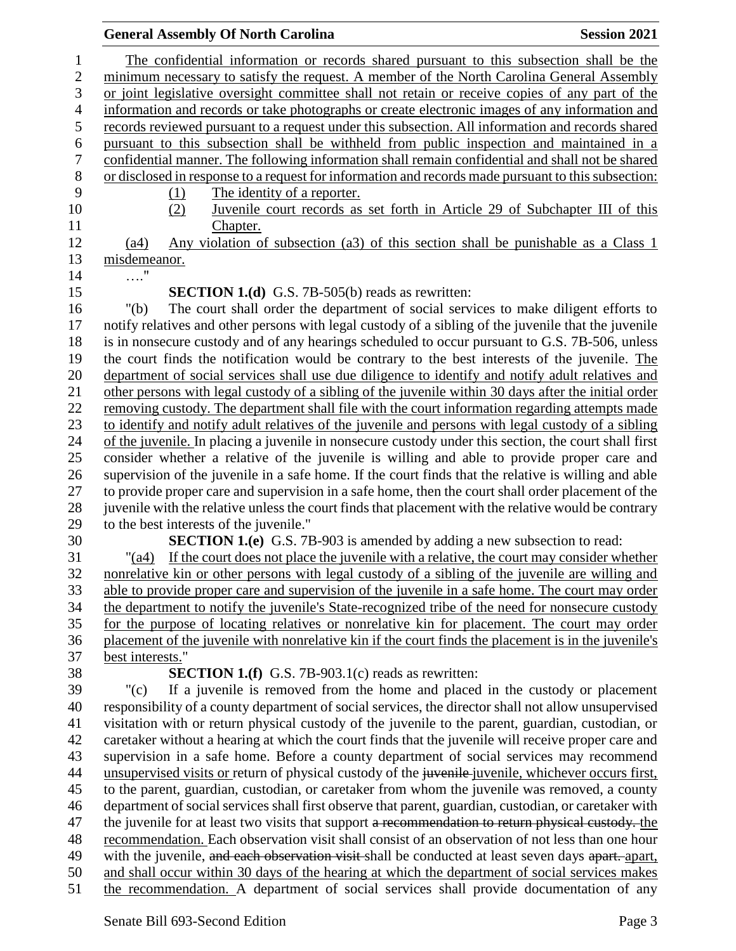|                          | <b>General Assembly Of North Carolina</b>                                                                                   | <b>Session 2021</b> |
|--------------------------|-----------------------------------------------------------------------------------------------------------------------------|---------------------|
| $\mathbf{1}$             | The confidential information or records shared pursuant to this subsection shall be the                                     |                     |
| $\sqrt{2}$               | minimum necessary to satisfy the request. A member of the North Carolina General Assembly                                   |                     |
| 3                        | or joint legislative oversight committee shall not retain or receive copies of any part of the                              |                     |
| $\overline{\mathcal{A}}$ | information and records or take photographs or create electronic images of any information and                              |                     |
| 5                        | records reviewed pursuant to a request under this subsection. All information and records shared                            |                     |
| 6                        | pursuant to this subsection shall be withheld from public inspection and maintained in a                                    |                     |
| $\boldsymbol{7}$         | confidential manner. The following information shall remain confidential and shall not be shared                            |                     |
| $8\,$                    | or disclosed in response to a request for information and records made pursuant to this subsection:                         |                     |
| 9                        | The identity of a reporter.<br>(1)                                                                                          |                     |
| 10                       | Juvenile court records as set forth in Article 29 of Subchapter III of this<br>(2)                                          |                     |
| 11                       | Chapter.                                                                                                                    |                     |
| 12                       | Any violation of subsection (a3) of this section shall be punishable as a Class 1<br>(a4)                                   |                     |
| 13                       | misdemeanor.                                                                                                                |                     |
| 14                       | $\ldots \overset{\text{\normalsize{\hspace{1pt}\text{\normalsize{\hspace{1pt}\text{\scriptsize{\hspace{1pt}}}}}}}}{\cdots}$ |                     |
| 15                       | <b>SECTION 1.(d)</b> G.S. 7B-505(b) reads as rewritten:                                                                     |                     |
| 16                       | The court shall order the department of social services to make diligent efforts to<br>" $(b)$                              |                     |
| 17                       | notify relatives and other persons with legal custody of a sibling of the juvenile that the juvenile                        |                     |
| 18                       | is in nonsecure custody and of any hearings scheduled to occur pursuant to G.S. 7B-506, unless                              |                     |
| 19                       | the court finds the notification would be contrary to the best interests of the juvenile. The                               |                     |
| 20                       | department of social services shall use due diligence to identify and notify adult relatives and                            |                     |
| 21                       | other persons with legal custody of a sibling of the juvenile within 30 days after the initial order                        |                     |
| 22                       | removing custody. The department shall file with the court information regarding attempts made                              |                     |
| 23                       | to identify and notify adult relatives of the juvenile and persons with legal custody of a sibling                          |                     |
| 24                       | of the juvenile. In placing a juvenile in nonsecure custody under this section, the court shall first                       |                     |
| 25                       | consider whether a relative of the juvenile is willing and able to provide proper care and                                  |                     |
| 26                       | supervision of the juvenile in a safe home. If the court finds that the relative is willing and able                        |                     |
| 27                       | to provide proper care and supervision in a safe home, then the court shall order placement of the                          |                     |
| 28                       | juvenile with the relative unless the court finds that placement with the relative would be contrary                        |                     |
| 29<br>30                 | to the best interests of the juvenile."<br><b>SECTION 1.(e)</b> G.S. 7B-903 is amended by adding a new subsection to read:  |                     |
| 31                       | If the court does not place the juvenile with a relative, the court may consider whether<br>$"({\rm a}4)$                   |                     |
| 32                       | nonrelative kin or other persons with legal custody of a sibling of the juvenile are willing and                            |                     |
| 33                       | able to provide proper care and supervision of the juvenile in a safe home. The court may order                             |                     |
| 34                       | the department to notify the juvenile's State-recognized tribe of the need for nonsecure custody                            |                     |
| 35                       | for the purpose of locating relatives or nonrelative kin for placement. The court may order                                 |                     |
| 36                       | placement of the juvenile with nonrelative kin if the court finds the placement is in the juvenile's                        |                     |
| 37                       | best interests."                                                                                                            |                     |
| 38                       | <b>SECTION 1.(f)</b> G.S. 7B-903.1(c) reads as rewritten:                                                                   |                     |
| 39                       | If a juvenile is removed from the home and placed in the custody or placement<br>" $(c)$                                    |                     |
| 40                       | responsibility of a county department of social services, the director shall not allow unsupervised                         |                     |
| 41                       | visitation with or return physical custody of the juvenile to the parent, guardian, custodian, or                           |                     |
| 42                       | caretaker without a hearing at which the court finds that the juvenile will receive proper care and                         |                     |
| 43                       | supervision in a safe home. Before a county department of social services may recommend                                     |                     |
| 44                       | unsupervised visits or return of physical custody of the juvenile-juvenile, whichever occurs first,                         |                     |
| 45                       | to the parent, guardian, custodian, or caretaker from whom the juvenile was removed, a county                               |                     |
| 46                       | department of social services shall first observe that parent, guardian, custodian, or caretaker with                       |                     |
| 47                       | the juvenile for at least two visits that support a recommendation to return physical custody. the                          |                     |
| 48                       | recommendation. Each observation visit shall consist of an observation of not less than one hour                            |                     |
| 49                       | with the juvenile, and each observation visit shall be conducted at least seven days apart. apart,                          |                     |
| 50                       | and shall occur within 30 days of the hearing at which the department of social services makes                              |                     |
| 51                       | the recommendation. A department of social services shall provide documentation of any                                      |                     |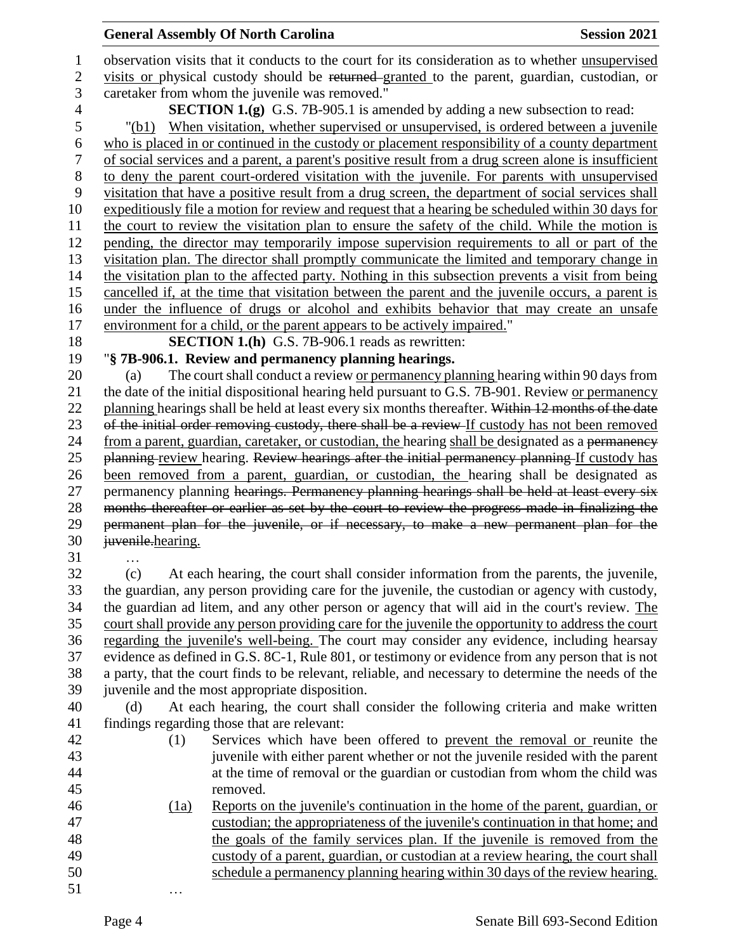### **General Assembly Of North Carolina Session 2021**

 observation visits that it conducts to the court for its consideration as to whether unsupervised 2 visits or physical custody should be returned granted to the parent, guardian, custodian, or caretaker from whom the juvenile was removed." **SECTION 1.(g)** G.S. 7B-905.1 is amended by adding a new subsection to read: "(b1) When visitation, whether supervised or unsupervised, is ordered between a juvenile who is placed in or continued in the custody or placement responsibility of a county department of social services and a parent, a parent's positive result from a drug screen alone is insufficient to deny the parent court-ordered visitation with the juvenile. For parents with unsupervised visitation that have a positive result from a drug screen, the department of social services shall expeditiously file a motion for review and request that a hearing be scheduled within 30 days for the court to review the visitation plan to ensure the safety of the child. While the motion is pending, the director may temporarily impose supervision requirements to all or part of the visitation plan. The director shall promptly communicate the limited and temporary change in the visitation plan to the affected party. Nothing in this subsection prevents a visit from being cancelled if, at the time that visitation between the parent and the juvenile occurs, a parent is under the influence of drugs or alcohol and exhibits behavior that may create an unsafe environment for a child, or the parent appears to be actively impaired." **SECTION 1.(h)** G.S. 7B-906.1 reads as rewritten: "**§ 7B-906.1. Review and permanency planning hearings.** (a) The court shall conduct a review or permanency planning hearing within 90 days from the date of the initial dispositional hearing held pursuant to G.S. 7B-901. Review or permanency 22 planning hearings shall be held at least every six months thereafter. Within 12 months of the date 23 of the initial order removing custody, there shall be a review If custody has not been removed 24 from a parent, guardian, caretaker, or custodian, the hearing shall be designated as a permanency 25 planning review hearing. Review hearings after the initial permanency planning If custody has been removed from a parent, guardian, or custodian, the hearing shall be designated as 27 permanency planning hearings. Permanency planning hearings shall be held at least every six months thereafter or earlier as set by the court to review the progress made in finalizing the permanent plan for the juvenile, or if necessary, to make a new permanent plan for the 30 <del>juvenile</del>.hearing. … (c) At each hearing, the court shall consider information from the parents, the juvenile, the guardian, any person providing care for the juvenile, the custodian or agency with custody, the guardian ad litem, and any other person or agency that will aid in the court's review. The court shall provide any person providing care for the juvenile the opportunity to address the court regarding the juvenile's well-being. The court may consider any evidence, including hearsay evidence as defined in G.S. 8C-1, Rule 801, or testimony or evidence from any person that is not a party, that the court finds to be relevant, reliable, and necessary to determine the needs of the juvenile and the most appropriate disposition. (d) At each hearing, the court shall consider the following criteria and make written findings regarding those that are relevant: (1) Services which have been offered to prevent the removal or reunite the juvenile with either parent whether or not the juvenile resided with the parent at the time of removal or the guardian or custodian from whom the child was removed. (1a) Reports on the juvenile's continuation in the home of the parent, guardian, or custodian; the appropriateness of the juvenile's continuation in that home; and the goals of the family services plan. If the juvenile is removed from the custody of a parent, guardian, or custodian at a review hearing, the court shall schedule a permanency planning hearing within 30 days of the review hearing.

…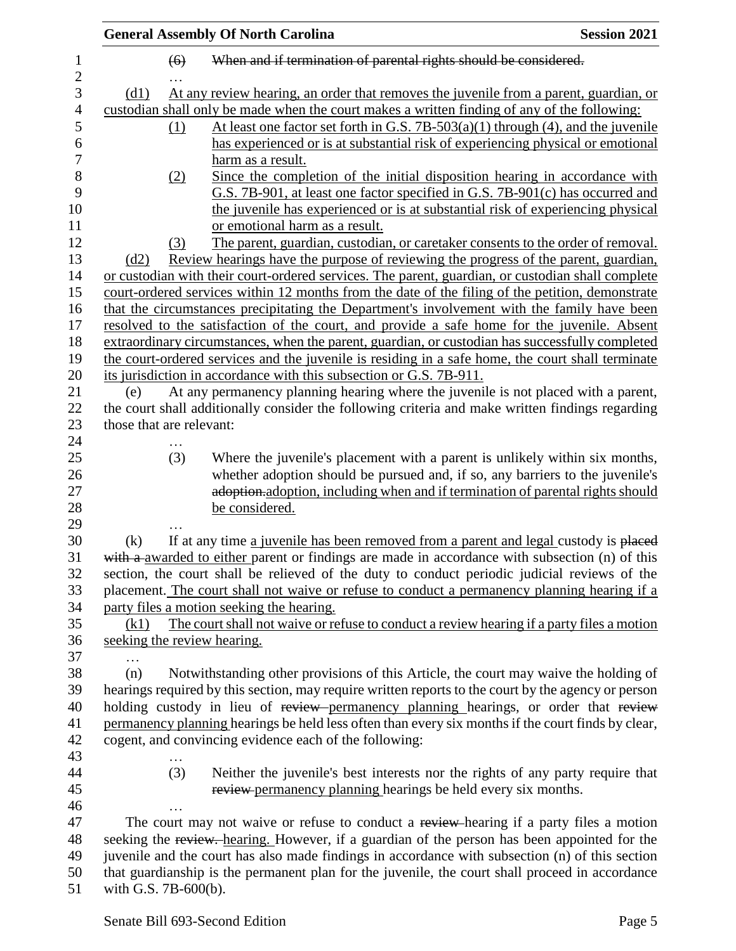|                               |                             | <b>General Assembly Of North Carolina</b>                                                           | <b>Session 2021</b> |
|-------------------------------|-----------------------------|-----------------------------------------------------------------------------------------------------|---------------------|
| $\mathbf 1$<br>$\overline{2}$ | (6)                         | When and if termination of parental rights should be considered.                                    |                     |
| 3                             | (d1)                        | At any review hearing, an order that removes the juvenile from a parent, guardian, or               |                     |
| $\overline{4}$                |                             | custodian shall only be made when the court makes a written finding of any of the following:        |                     |
| 5                             | (1)                         | At least one factor set forth in G.S. 7B-503(a)(1) through (4), and the juvenile                    |                     |
| 6                             |                             | has experienced or is at substantial risk of experiencing physical or emotional                     |                     |
| $\tau$                        |                             | harm as a result.                                                                                   |                     |
| 8                             | (2)                         | Since the completion of the initial disposition hearing in accordance with                          |                     |
| 9                             |                             | G.S. 7B-901, at least one factor specified in G.S. 7B-901(c) has occurred and                       |                     |
| 10                            |                             | the juvenile has experienced or is at substantial risk of experiencing physical                     |                     |
| 11                            |                             | or emotional harm as a result.                                                                      |                     |
| 12                            | (3)                         | The parent, guardian, custodian, or caretaker consents to the order of removal.                     |                     |
| 13                            | (d2)                        | Review hearings have the purpose of reviewing the progress of the parent, guardian,                 |                     |
| 14                            |                             | or custodian with their court-ordered services. The parent, guardian, or custodian shall complete   |                     |
| 15                            |                             | court-ordered services within 12 months from the date of the filing of the petition, demonstrate    |                     |
| 16                            |                             | that the circumstances precipitating the Department's involvement with the family have been         |                     |
| 17                            |                             | resolved to the satisfaction of the court, and provide a safe home for the juvenile. Absent         |                     |
| 18                            |                             | extraordinary circumstances, when the parent, guardian, or custodian has successfully completed     |                     |
| 19                            |                             | the court-ordered services and the juvenile is residing in a safe home, the court shall terminate   |                     |
| 20                            |                             | its jurisdiction in accordance with this subsection or G.S. 7B-911.                                 |                     |
| 21                            | (e)                         | At any permanency planning hearing where the juvenile is not placed with a parent,                  |                     |
| 22                            |                             | the court shall additionally consider the following criteria and make written findings regarding    |                     |
| 23                            | those that are relevant:    |                                                                                                     |                     |
| 24                            |                             |                                                                                                     |                     |
| 25                            | (3)                         | Where the juvenile's placement with a parent is unlikely within six months,                         |                     |
| 26                            |                             | whether adoption should be pursued and, if so, any barriers to the juvenile's                       |                     |
| 27                            |                             | adoption, adoption, including when and if termination of parental rights should                     |                     |
| 28                            |                             | be considered.                                                                                      |                     |
| 29                            |                             |                                                                                                     |                     |
| 30                            | (k)                         | If at any time a juvenile has been removed from a parent and legal custody is placed                |                     |
| 31                            |                             | with a awarded to either parent or findings are made in accordance with subsection (n) of this      |                     |
| 32                            |                             | section, the court shall be relieved of the duty to conduct periodic judicial reviews of the        |                     |
| 33                            |                             | placement. The court shall not waive or refuse to conduct a permanency planning hearing if a        |                     |
| 34                            |                             | party files a motion seeking the hearing.                                                           |                     |
| 35                            | (k1)                        | The court shall not waive or refuse to conduct a review hearing if a party files a motion           |                     |
| 36                            | seeking the review hearing. |                                                                                                     |                     |
| 37                            | .                           |                                                                                                     |                     |
| 38                            | (n)                         | Notwithstanding other provisions of this Article, the court may waive the holding of                |                     |
| 39                            |                             | hearings required by this section, may require written reports to the court by the agency or person |                     |
| 40                            |                             | holding custody in lieu of review permanency planning hearings, or order that review                |                     |
| 41                            |                             | permanency planning hearings be held less often than every six months if the court finds by clear,  |                     |
| 42                            |                             | cogent, and convincing evidence each of the following:                                              |                     |
| 43                            |                             |                                                                                                     |                     |
| 44                            | (3)                         | Neither the juvenile's best interests nor the rights of any party require that                      |                     |
| 45                            |                             | review permanency planning hearings be held every six months.                                       |                     |
| 46                            |                             |                                                                                                     |                     |
| 47                            |                             | The court may not waive or refuse to conduct a review-hearing if a party files a motion             |                     |
| 48                            |                             | seeking the review. hearing. However, if a guardian of the person has been appointed for the        |                     |
| 49                            |                             | juvenile and the court has also made findings in accordance with subsection (n) of this section     |                     |
| 50                            |                             | that guardianship is the permanent plan for the juvenile, the court shall proceed in accordance     |                     |
| 51                            | with G.S. 7B-600(b).        |                                                                                                     |                     |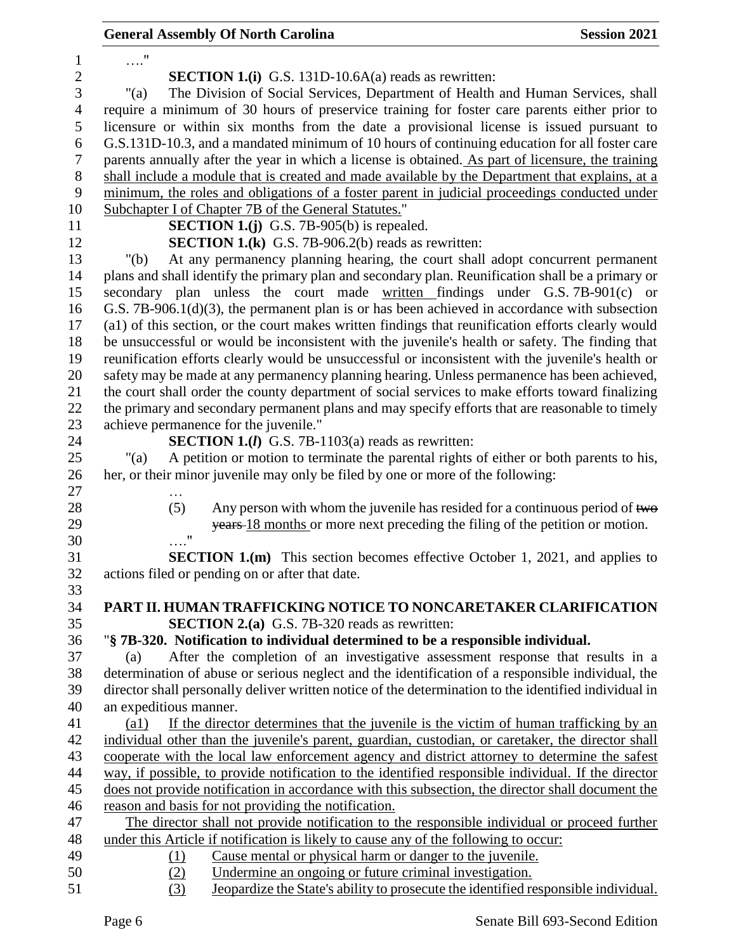|                        |            | <b>General Assembly Of North Carolina</b>                                                                                                                                                            | <b>Session 2021</b> |
|------------------------|------------|------------------------------------------------------------------------------------------------------------------------------------------------------------------------------------------------------|---------------------|
| $\ldots$ "             |            |                                                                                                                                                                                                      |                     |
|                        |            | <b>SECTION 1.(i)</b> G.S. 131D-10.6A(a) reads as rewritten:                                                                                                                                          |                     |
| " $(a)$                |            | The Division of Social Services, Department of Health and Human Services, shall                                                                                                                      |                     |
|                        |            | require a minimum of 30 hours of preservice training for foster care parents either prior to                                                                                                         |                     |
|                        |            | licensure or within six months from the date a provisional license is issued pursuant to                                                                                                             |                     |
|                        |            | G.S.131D-10.3, and a mandated minimum of 10 hours of continuing education for all foster care                                                                                                        |                     |
|                        |            | parents annually after the year in which a license is obtained. As part of licensure, the training                                                                                                   |                     |
|                        |            | shall include a module that is created and made available by the Department that explains, at a                                                                                                      |                     |
|                        |            | minimum, the roles and obligations of a foster parent in judicial proceedings conducted under                                                                                                        |                     |
|                        |            | Subchapter I of Chapter 7B of the General Statutes."                                                                                                                                                 |                     |
|                        |            | <b>SECTION 1.(j)</b> G.S. 7B-905(b) is repealed.                                                                                                                                                     |                     |
|                        |            | <b>SECTION 1.(k)</b> G.S. 7B-906.2(b) reads as rewritten:                                                                                                                                            |                     |
| " $(b)$                |            | At any permanency planning hearing, the court shall adopt concurrent permanent                                                                                                                       |                     |
|                        |            |                                                                                                                                                                                                      |                     |
|                        |            | plans and shall identify the primary plan and secondary plan. Reunification shall be a primary or<br>secondary plan unless the court made written findings under G.S. 7B-901(c) or                   |                     |
|                        |            |                                                                                                                                                                                                      |                     |
|                        |            | G.S. $7B-906.1(d)(3)$ , the permanent plan is or has been achieved in accordance with subsection                                                                                                     |                     |
|                        |            | (a1) of this section, or the court makes written findings that reunification efforts clearly would                                                                                                   |                     |
|                        |            | be unsuccessful or would be inconsistent with the juvenile's health or safety. The finding that<br>reunification efforts clearly would be unsuccessful or inconsistent with the juvenile's health or |                     |
|                        |            |                                                                                                                                                                                                      |                     |
|                        |            | safety may be made at any permanency planning hearing. Unless permanence has been achieved,                                                                                                          |                     |
|                        |            | the court shall order the county department of social services to make efforts toward finalizing                                                                                                     |                     |
|                        |            | the primary and secondary permanent plans and may specify efforts that are reasonable to timely                                                                                                      |                     |
|                        |            | achieve permanence for the juvenile."                                                                                                                                                                |                     |
|                        |            | <b>SECTION 1.(<i>l</i></b> ) G.S. 7B-1103(a) reads as rewritten:                                                                                                                                     |                     |
| " $(a)$                |            | A petition or motion to terminate the parental rights of either or both parents to his,                                                                                                              |                     |
|                        |            | her, or their minor juvenile may only be filed by one or more of the following:                                                                                                                      |                     |
|                        |            |                                                                                                                                                                                                      |                     |
|                        | (5)        | Any person with whom the juvenile has resided for a continuous period of two                                                                                                                         |                     |
|                        |            | years 18 months or more next preceding the filing of the petition or motion.                                                                                                                         |                     |
|                        | $\ldots$ " |                                                                                                                                                                                                      |                     |
|                        |            | <b>SECTION 1.(m)</b> This section becomes effective October 1, 2021, and applies to                                                                                                                  |                     |
|                        |            | actions filed or pending on or after that date.                                                                                                                                                      |                     |
|                        |            |                                                                                                                                                                                                      |                     |
|                        |            | PART II. HUMAN TRAFFICKING NOTICE TO NONCARETAKER CLARIFICATION                                                                                                                                      |                     |
|                        |            | <b>SECTION 2.(a)</b> G.S. 7B-320 reads as rewritten:                                                                                                                                                 |                     |
|                        |            | "§ 7B-320. Notification to individual determined to be a responsible individual.                                                                                                                     |                     |
| (a)                    |            | After the completion of an investigative assessment response that results in a                                                                                                                       |                     |
|                        |            | determination of abuse or serious neglect and the identification of a responsible individual, the                                                                                                    |                     |
|                        |            | director shall personally deliver written notice of the determination to the identified individual in                                                                                                |                     |
| an expeditious manner. |            |                                                                                                                                                                                                      |                     |
| $\left( a1\right)$     |            | If the director determines that the juvenile is the victim of human trafficking by an                                                                                                                |                     |
|                        |            | individual other than the juvenile's parent, guardian, custodian, or caretaker, the director shall                                                                                                   |                     |
|                        |            | cooperate with the local law enforcement agency and district attorney to determine the safest                                                                                                        |                     |
|                        |            | way, if possible, to provide notification to the identified responsible individual. If the director                                                                                                  |                     |
|                        |            | does not provide notification in accordance with this subsection, the director shall document the                                                                                                    |                     |
|                        |            | reason and basis for not providing the notification.                                                                                                                                                 |                     |
|                        |            | The director shall not provide notification to the responsible individual or proceed further                                                                                                         |                     |
|                        |            | under this Article if notification is likely to cause any of the following to occur:                                                                                                                 |                     |
|                        | <u>(1)</u> | Cause mental or physical harm or danger to the juvenile.                                                                                                                                             |                     |
|                        | (2)        | Undermine an ongoing or future criminal investigation.                                                                                                                                               |                     |
|                        | (3)        | Jeopardize the State's ability to prosecute the identified responsible individual.                                                                                                                   |                     |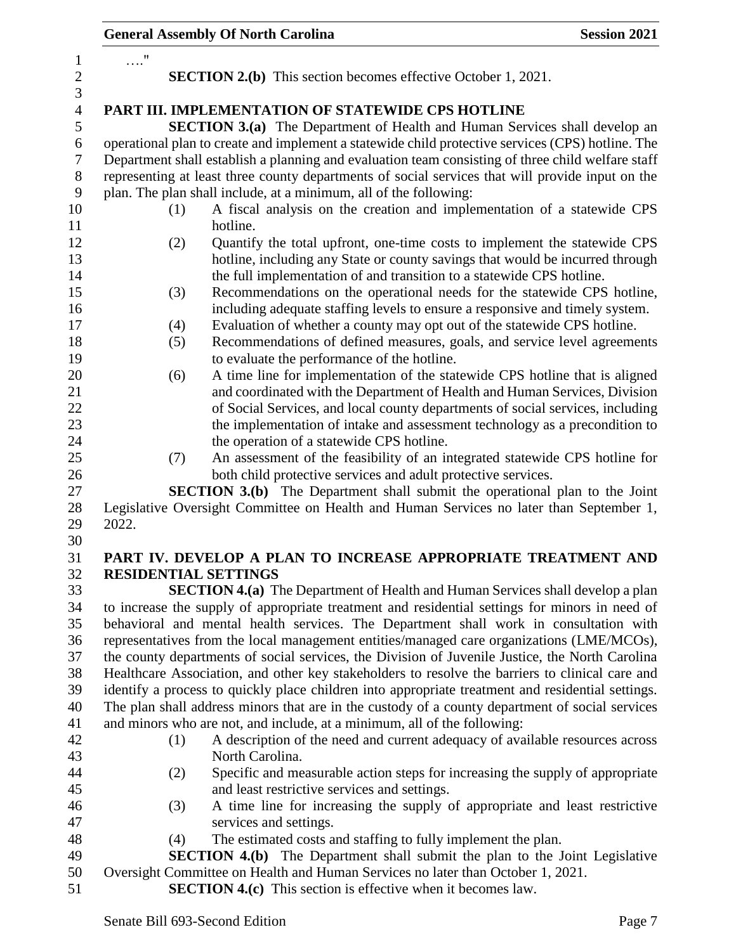|                       | <b>General Assembly Of North Carolina</b>                                                                                                                                                            | <b>Session 2021</b> |
|-----------------------|------------------------------------------------------------------------------------------------------------------------------------------------------------------------------------------------------|---------------------|
| 1                     | $\ldots$ "                                                                                                                                                                                           |                     |
| $\boldsymbol{2}$<br>3 | <b>SECTION 2.(b)</b> This section becomes effective October 1, 2021.                                                                                                                                 |                     |
| $\overline{4}$        | PART III. IMPLEMENTATION OF STATEWIDE CPS HOTLINE                                                                                                                                                    |                     |
| $\mathfrak s$         | <b>SECTION 3.(a)</b> The Department of Health and Human Services shall develop an                                                                                                                    |                     |
| $\boldsymbol{6}$      | operational plan to create and implement a statewide child protective services (CPS) hotline. The                                                                                                    |                     |
| 7                     | Department shall establish a planning and evaluation team consisting of three child welfare staff                                                                                                    |                     |
| $8\phantom{1}$        | representing at least three county departments of social services that will provide input on the                                                                                                     |                     |
| 9                     | plan. The plan shall include, at a minimum, all of the following:                                                                                                                                    |                     |
| 10                    | A fiscal analysis on the creation and implementation of a statewide CPS<br>(1)                                                                                                                       |                     |
| 11                    | hotline.                                                                                                                                                                                             |                     |
| 12                    | Quantify the total upfront, one-time costs to implement the statewide CPS<br>(2)                                                                                                                     |                     |
| 13                    | hotline, including any State or county savings that would be incurred through                                                                                                                        |                     |
| 14                    | the full implementation of and transition to a statewide CPS hotline.                                                                                                                                |                     |
| 15                    | Recommendations on the operational needs for the statewide CPS hotline,<br>(3)                                                                                                                       |                     |
| 16                    | including adequate staffing levels to ensure a responsive and timely system.                                                                                                                         |                     |
| 17                    | Evaluation of whether a county may opt out of the statewide CPS hotline.<br>(4)                                                                                                                      |                     |
| 18                    | Recommendations of defined measures, goals, and service level agreements<br>(5)                                                                                                                      |                     |
| 19                    | to evaluate the performance of the hotline.                                                                                                                                                          |                     |
| 20                    | A time line for implementation of the statewide CPS hotline that is aligned<br>(6)                                                                                                                   |                     |
| 21                    | and coordinated with the Department of Health and Human Services, Division                                                                                                                           |                     |
| 22<br>23              | of Social Services, and local county departments of social services, including<br>the implementation of intake and assessment technology as a precondition to                                        |                     |
| 24                    | the operation of a statewide CPS hotline.                                                                                                                                                            |                     |
| 25                    | An assessment of the feasibility of an integrated statewide CPS hotline for<br>(7)                                                                                                                   |                     |
| 26                    | both child protective services and adult protective services.                                                                                                                                        |                     |
| 27                    | <b>SECTION 3.(b)</b> The Department shall submit the operational plan to the Joint                                                                                                                   |                     |
| 28                    | Legislative Oversight Committee on Health and Human Services no later than September 1,                                                                                                              |                     |
| 29                    | 2022.                                                                                                                                                                                                |                     |
| 30                    |                                                                                                                                                                                                      |                     |
| 31                    | PART IV. DEVELOP A PLAN TO INCREASE APPROPRIATE TREATMENT AND                                                                                                                                        |                     |
| 32                    | <b>RESIDENTIAL SETTINGS</b>                                                                                                                                                                          |                     |
| 33                    | <b>SECTION 4.(a)</b> The Department of Health and Human Services shall develop a plan                                                                                                                |                     |
| 34                    | to increase the supply of appropriate treatment and residential settings for minors in need of                                                                                                       |                     |
| 35                    | behavioral and mental health services. The Department shall work in consultation with                                                                                                                |                     |
| 36                    | representatives from the local management entities/managed care organizations (LME/MCOs),                                                                                                            |                     |
| 37                    | the county departments of social services, the Division of Juvenile Justice, the North Carolina                                                                                                      |                     |
| 38<br>39              | Healthcare Association, and other key stakeholders to resolve the barriers to clinical care and                                                                                                      |                     |
| 40                    | identify a process to quickly place children into appropriate treatment and residential settings.<br>The plan shall address minors that are in the custody of a county department of social services |                     |
| 41                    | and minors who are not, and include, at a minimum, all of the following:                                                                                                                             |                     |
| 42                    | A description of the need and current adequacy of available resources across<br>(1)                                                                                                                  |                     |
| 43                    | North Carolina.                                                                                                                                                                                      |                     |
| 44                    | Specific and measurable action steps for increasing the supply of appropriate<br>(2)                                                                                                                 |                     |
| 45                    | and least restrictive services and settings.                                                                                                                                                         |                     |
| 46                    | A time line for increasing the supply of appropriate and least restrictive<br>(3)                                                                                                                    |                     |
| 47                    | services and settings.                                                                                                                                                                               |                     |
| 48                    | The estimated costs and staffing to fully implement the plan.<br>(4)                                                                                                                                 |                     |
| 49                    | <b>SECTION 4.(b)</b> The Department shall submit the plan to the Joint Legislative                                                                                                                   |                     |
| 50                    | Oversight Committee on Health and Human Services no later than October 1, 2021.                                                                                                                      |                     |
| 51                    | <b>SECTION 4.(c)</b> This section is effective when it becomes law.                                                                                                                                  |                     |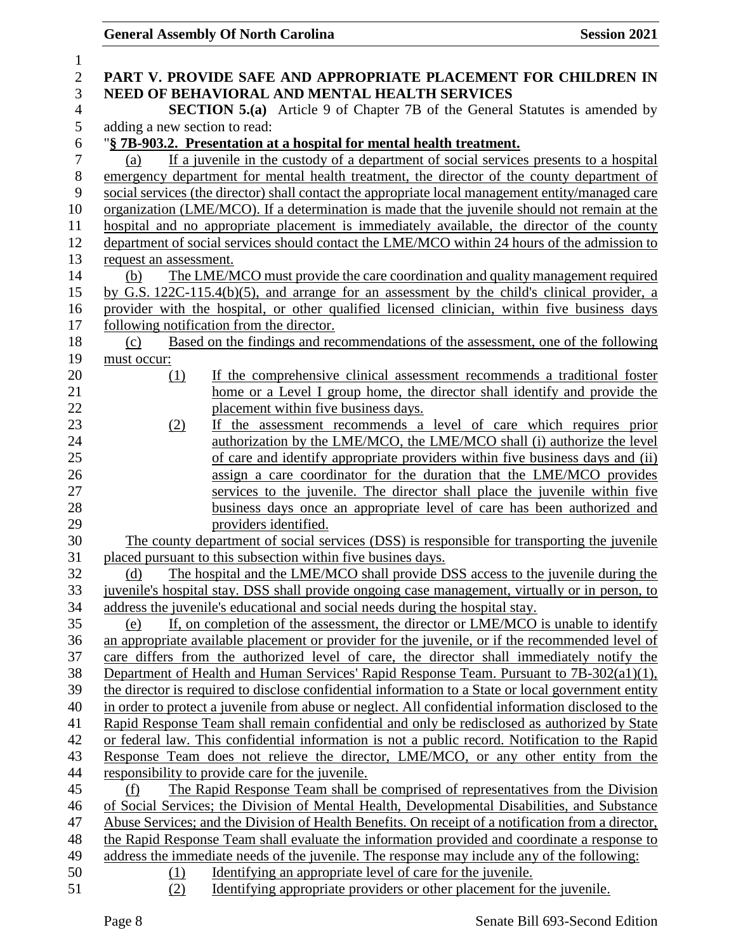| $\mathbf{1}$     |                                                                                                     |
|------------------|-----------------------------------------------------------------------------------------------------|
| $\overline{2}$   | PART V. PROVIDE SAFE AND APPROPRIATE PLACEMENT FOR CHILDREN IN                                      |
| 3                | NEED OF BEHAVIORAL AND MENTAL HEALTH SERVICES                                                       |
| $\overline{4}$   | <b>SECTION 5.(a)</b> Article 9 of Chapter 7B of the General Statutes is amended by                  |
| 5                | adding a new section to read:                                                                       |
| $\boldsymbol{6}$ | "§ 7B-903.2. Presentation at a hospital for mental health treatment.                                |
| $\overline{7}$   | If a juvenile in the custody of a department of social services presents to a hospital<br>(a)       |
| $\,8\,$          | emergency department for mental health treatment, the director of the county department of          |
| 9                | social services (the director) shall contact the appropriate local management entity/managed care   |
| 10               | organization (LME/MCO). If a determination is made that the juvenile should not remain at the       |
| 11               | hospital and no appropriate placement is immediately available, the director of the county          |
| 12               | department of social services should contact the LME/MCO within 24 hours of the admission to        |
| 13               | request an assessment.                                                                              |
| 14               | The LME/MCO must provide the care coordination and quality management required<br>(b)               |
| 15               | by G.S. 122C-115.4(b)(5), and arrange for an assessment by the child's clinical provider, a         |
| 16               | provider with the hospital, or other qualified licensed clinician, within five business days        |
| 17               | following notification from the director.                                                           |
| 18               | Based on the findings and recommendations of the assessment, one of the following<br>(c)            |
| 19               | must occur:                                                                                         |
| 20               | If the comprehensive clinical assessment recommends a traditional foster<br>(1)                     |
| 21               | home or a Level I group home, the director shall identify and provide the                           |
| 22               | placement within five business days.                                                                |
| 23               | If the assessment recommends a level of care which requires prior<br>(2)                            |
| 24               | authorization by the LME/MCO, the LME/MCO shall (i) authorize the level                             |
| 25               | of care and identify appropriate providers within five business days and (ii)                       |
| 26               | assign a care coordinator for the duration that the LME/MCO provides                                |
| 27               | services to the juvenile. The director shall place the juvenile within five                         |
| 28               | business days once an appropriate level of care has been authorized and                             |
| 29               | providers identified.                                                                               |
| 30               | The county department of social services (DSS) is responsible for transporting the juvenile         |
| 31               | placed pursuant to this subsection within five busines days.                                        |
| 32               | The hospital and the LME/MCO shall provide DSS access to the juvenile during the<br>(d)             |
| 33               | juvenile's hospital stay. DSS shall provide ongoing case management, virtually or in person, to     |
| 34               | address the juvenile's educational and social needs during the hospital stay.                       |
| 35               | If, on completion of the assessment, the director or LME/MCO is unable to identify<br>(e)           |
| 36               | an appropriate available placement or provider for the juvenile, or if the recommended level of     |
| 37               | care differs from the authorized level of care, the director shall immediately notify the           |
| 38               | Department of Health and Human Services' Rapid Response Team. Pursuant to 7B-302(a1)(1),            |
| 39               | the director is required to disclose confidential information to a State or local government entity |
| 40               | in order to protect a juvenile from abuse or neglect. All confidential information disclosed to the |
| 41               | Rapid Response Team shall remain confidential and only be redisclosed as authorized by State        |
| 42               | or federal law. This confidential information is not a public record. Notification to the Rapid     |
| 43               | Response Team does not relieve the director, LME/MCO, or any other entity from the                  |
| 44               | responsibility to provide care for the juvenile.                                                    |
| 45               | The Rapid Response Team shall be comprised of representatives from the Division<br>(f)              |
| 46               | of Social Services; the Division of Mental Health, Developmental Disabilities, and Substance        |
| 47               | Abuse Services; and the Division of Health Benefits. On receipt of a notification from a director,  |
| 48               | the Rapid Response Team shall evaluate the information provided and coordinate a response to        |
| 49               | address the immediate needs of the juvenile. The response may include any of the following:         |
| 50               | Identifying an appropriate level of care for the juvenile.<br>(1)                                   |
| 51               | (2)<br>Identifying appropriate providers or other placement for the juvenile.                       |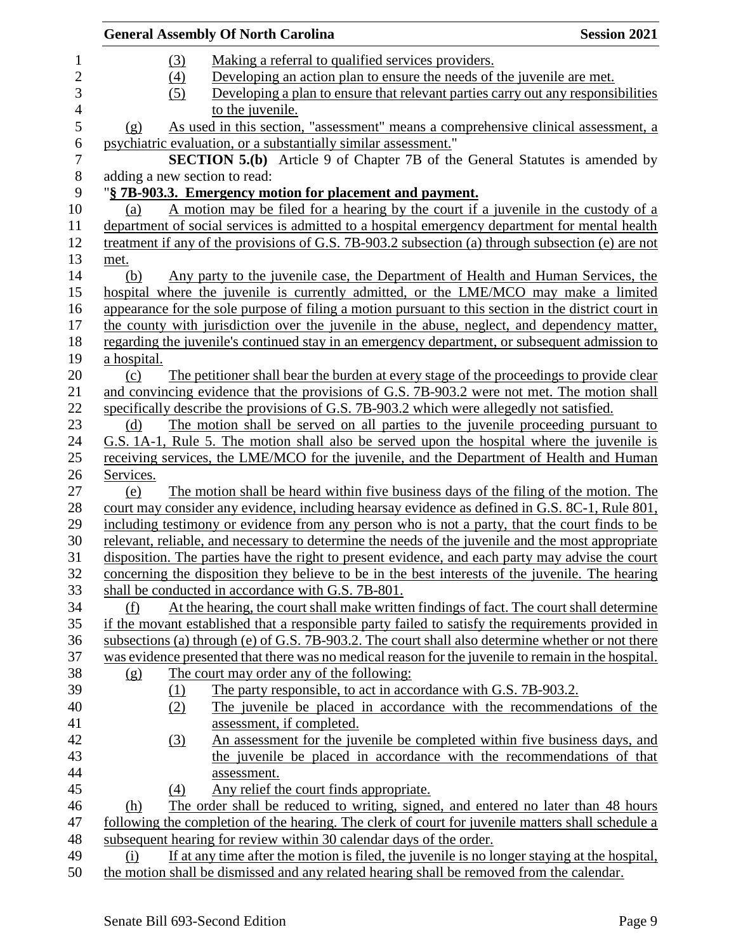|                                |                  | <b>General Assembly Of North Carolina</b>                                                            | <b>Session 2021</b> |
|--------------------------------|------------------|------------------------------------------------------------------------------------------------------|---------------------|
|                                | (3)              | Making a referral to qualified services providers.                                                   |                     |
|                                | $\left(4\right)$ | Developing an action plan to ensure the needs of the juvenile are met.                               |                     |
|                                | (5)              | Developing a plan to ensure that relevant parties carry out any responsibilities                     |                     |
|                                |                  | to the juvenile.                                                                                     |                     |
| $\left( \underline{g} \right)$ |                  | As used in this section, "assessment" means a comprehensive clinical assessment, a                   |                     |
|                                |                  | psychiatric evaluation, or a substantially similar assessment."                                      |                     |
|                                |                  | SECTION 5.(b) Article 9 of Chapter 7B of the General Statutes is amended by                          |                     |
|                                |                  | adding a new section to read:                                                                        |                     |
|                                |                  | "§ 7B-903.3. Emergency motion for placement and payment.                                             |                     |
| (a)                            |                  | A motion may be filed for a hearing by the court if a juvenile in the custody of a                   |                     |
|                                |                  | department of social services is admitted to a hospital emergency department for mental health       |                     |
|                                |                  | treatment if any of the provisions of G.S. 7B-903.2 subsection (a) through subsection (e) are not    |                     |
| met.                           |                  |                                                                                                      |                     |
| (b)                            |                  | Any party to the juvenile case, the Department of Health and Human Services, the                     |                     |
|                                |                  | hospital where the juvenile is currently admitted, or the LME/MCO may make a limited                 |                     |
|                                |                  | appearance for the sole purpose of filing a motion pursuant to this section in the district court in |                     |
|                                |                  | the county with jurisdiction over the juvenile in the abuse, neglect, and dependency matter,         |                     |
|                                |                  | regarding the juvenile's continued stay in an emergency department, or subsequent admission to       |                     |
| a hospital.                    |                  |                                                                                                      |                     |
| (c)                            |                  | The petitioner shall bear the burden at every stage of the proceedings to provide clear              |                     |
|                                |                  | and convincing evidence that the provisions of G.S. 7B-903.2 were not met. The motion shall          |                     |
|                                |                  | specifically describe the provisions of G.S. 7B-903.2 which were allegedly not satisfied.            |                     |
| (d)                            |                  | The motion shall be served on all parties to the juvenile proceeding pursuant to                     |                     |
|                                |                  | G.S. 1A-1, Rule 5. The motion shall also be served upon the hospital where the juvenile is           |                     |
|                                |                  | receiving services, the LME/MCO for the juvenile, and the Department of Health and Human             |                     |
| Services.                      |                  |                                                                                                      |                     |
| (e)                            |                  | The motion shall be heard within five business days of the filing of the motion. The                 |                     |
|                                |                  | court may consider any evidence, including hearsay evidence as defined in G.S. 8C-1, Rule 801,       |                     |
|                                |                  | including testimony or evidence from any person who is not a party, that the court finds to be       |                     |
|                                |                  | relevant, reliable, and necessary to determine the needs of the juvenile and the most appropriate    |                     |
|                                |                  | disposition. The parties have the right to present evidence, and each party may advise the court     |                     |
|                                |                  | concerning the disposition they believe to be in the best interests of the juvenile. The hearing     |                     |
|                                |                  | shall be conducted in accordance with G.S. 7B-801.                                                   |                     |
| (f)                            |                  | At the hearing, the court shall make written findings of fact. The court shall determine             |                     |
|                                |                  | if the movant established that a responsible party failed to satisfy the requirements provided in    |                     |
|                                |                  | subsections (a) through (e) of G.S. 7B-903.2. The court shall also determine whether or not there    |                     |
|                                |                  | was evidence presented that there was no medical reason for the juvenile to remain in the hospital.  |                     |
| (g)                            |                  | The court may order any of the following:                                                            |                     |
|                                | <u>(1)</u>       | The party responsible, to act in accordance with G.S. 7B-903.2.                                      |                     |
|                                | (2)              | The juvenile be placed in accordance with the recommendations of the                                 |                     |
|                                |                  | assessment, if completed.                                                                            |                     |
|                                | (3)              | An assessment for the juvenile be completed within five business days, and                           |                     |
|                                |                  | the juvenile be placed in accordance with the recommendations of that                                |                     |
|                                |                  | assessment.                                                                                          |                     |
|                                | (4)              | Any relief the court finds appropriate.                                                              |                     |
| (h)                            |                  | The order shall be reduced to writing, signed, and entered no later than 48 hours                    |                     |
|                                |                  | following the completion of the hearing. The clerk of court for juvenile matters shall schedule a    |                     |
|                                |                  | subsequent hearing for review within 30 calendar days of the order.                                  |                     |
| (i)                            |                  | If at any time after the motion is filed, the juvenile is no longer staying at the hospital,         |                     |
|                                |                  | the motion shall be dismissed and any related hearing shall be removed from the calendar.            |                     |